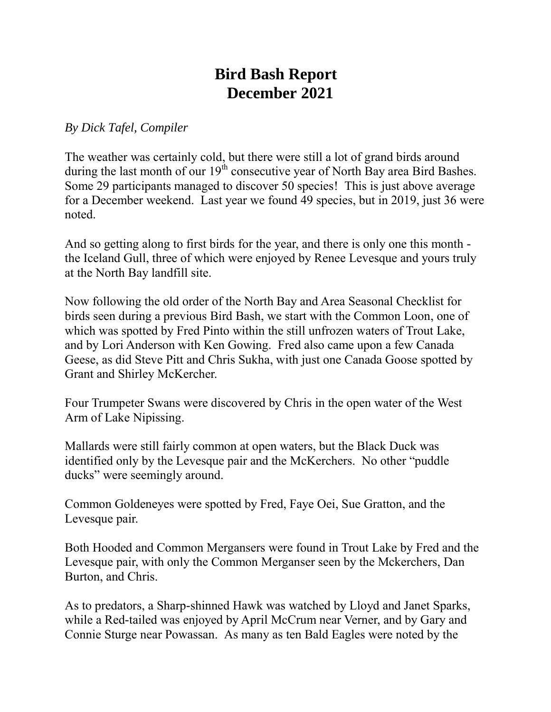## **Bird Bash Report December 2021**

*By Dick Tafel, Compiler*

The weather was certainly cold, but there were still a lot of grand birds around during the last month of our  $19<sup>th</sup>$  consecutive year of North Bay area Bird Bashes. Some 29 participants managed to discover 50 species! This is just above average for a December weekend. Last year we found 49 species, but in 2019, just 36 were noted.

And so getting along to first birds for the year, and there is only one this month the Iceland Gull, three of which were enjoyed by Renee Levesque and yours truly at the North Bay landfill site.

Now following the old order of the North Bay and Area Seasonal Checklist for birds seen during a previous Bird Bash, we start with the Common Loon, one of which was spotted by Fred Pinto within the still unfrozen waters of Trout Lake, and by Lori Anderson with Ken Gowing. Fred also came upon a few Canada Geese, as did Steve Pitt and Chris Sukha, with just one Canada Goose spotted by Grant and Shirley McKercher.

Four Trumpeter Swans were discovered by Chris in the open water of the West Arm of Lake Nipissing.

Mallards were still fairly common at open waters, but the Black Duck was identified only by the Levesque pair and the McKerchers. No other "puddle ducks" were seemingly around.

Common Goldeneyes were spotted by Fred, Faye Oei, Sue Gratton, and the Levesque pair.

Both Hooded and Common Mergansers were found in Trout Lake by Fred and the Levesque pair, with only the Common Merganser seen by the Mckerchers, Dan Burton, and Chris.

As to predators, a Sharp-shinned Hawk was watched by Lloyd and Janet Sparks, while a Red-tailed was enjoyed by April McCrum near Verner, and by Gary and Connie Sturge near Powassan. As many as ten Bald Eagles were noted by the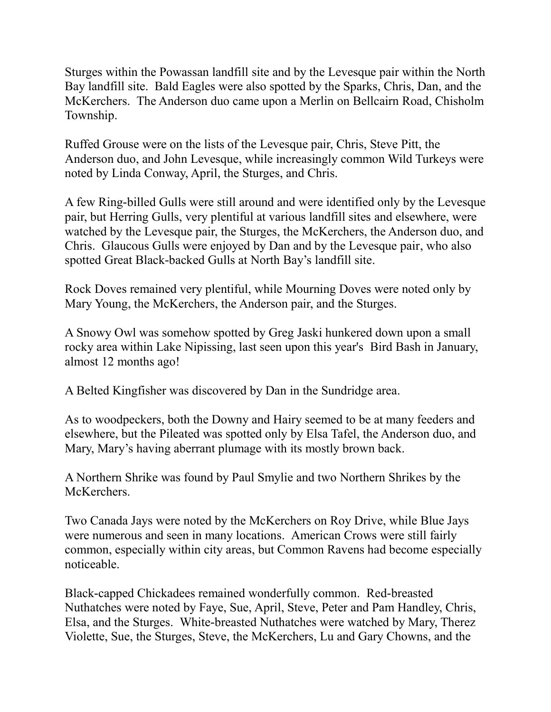Sturges within the Powassan landfill site and by the Levesque pair within the North Bay landfill site. Bald Eagles were also spotted by the Sparks, Chris, Dan, and the McKerchers. The Anderson duo came upon a Merlin on Bellcairn Road, Chisholm Township.

Ruffed Grouse were on the lists of the Levesque pair, Chris, Steve Pitt, the Anderson duo, and John Levesque, while increasingly common Wild Turkeys were noted by Linda Conway, April, the Sturges, and Chris.

A few Ring-billed Gulls were still around and were identified only by the Levesque pair, but Herring Gulls, very plentiful at various landfill sites and elsewhere, were watched by the Levesque pair, the Sturges, the McKerchers, the Anderson duo, and Chris. Glaucous Gulls were enjoyed by Dan and by the Levesque pair, who also spotted Great Black-backed Gulls at North Bay's landfill site.

Rock Doves remained very plentiful, while Mourning Doves were noted only by Mary Young, the McKerchers, the Anderson pair, and the Sturges.

A Snowy Owl was somehow spotted by Greg Jaski hunkered down upon a small rocky area within Lake Nipissing, last seen upon this year's Bird Bash in January, almost 12 months ago!

A Belted Kingfisher was discovered by Dan in the Sundridge area.

As to woodpeckers, both the Downy and Hairy seemed to be at many feeders and elsewhere, but the Pileated was spotted only by Elsa Tafel, the Anderson duo, and Mary, Mary's having aberrant plumage with its mostly brown back.

A Northern Shrike was found by Paul Smylie and two Northern Shrikes by the McKerchers.

Two Canada Jays were noted by the McKerchers on Roy Drive, while Blue Jays were numerous and seen in many locations. American Crows were still fairly common, especially within city areas, but Common Ravens had become especially noticeable.

Black-capped Chickadees remained wonderfully common. Red-breasted Nuthatches were noted by Faye, Sue, April, Steve, Peter and Pam Handley, Chris, Elsa, and the Sturges. White-breasted Nuthatches were watched by Mary, Therez Violette, Sue, the Sturges, Steve, the McKerchers, Lu and Gary Chowns, and the